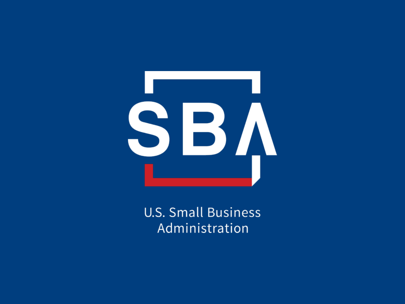

**U.S. Small Business** Administration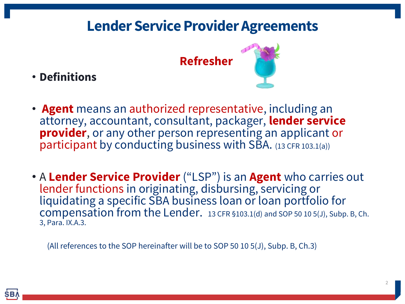**Refresher**

• **Definitions**



- **Agent** means an authorized representative, including an attorney, accountant, consultant, packager, **lender service provider**, or any other person representing an applicant or participant by conducting business with SBA. (13 CFR 103.1(a))
- A **Lender Service Provider** ("LSP") is an **Agent** who carries out lender functions in originating, disbursing, servicing or liquidating a specific SBA business loan or loan portfolio for compensation from the Lender. 13 CFR §103.1(d) and SOP 50 10 5(J), Subp. B, Ch. 3, Para. IX.A.3.

(All references to the SOP hereinafter will be to SOP 50 10 5(J), Subp. B, Ch.3)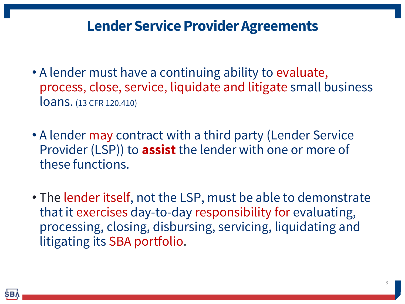- A lender must have a continuing ability to evaluate, process, close, service, liquidate and litigate small business loans. (13 CFR 120.410)
- A lender may contract with a third party (Lender Service Provider (LSP)) to **assist** the lender with one or more of these functions.
- The lender itself, not the LSP, must be able to demonstrate that it exercises day-to-day responsibility for evaluating, processing, closing, disbursing, servicing, liquidating and litigating its SBA portfolio.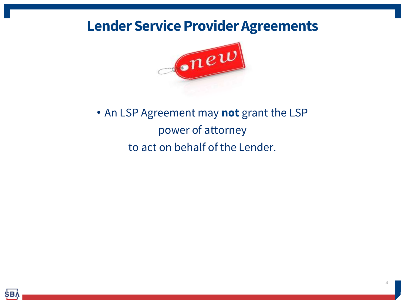

## • An LSP Agreement may **not** grant the LSP power of attorney to act on behalf of the Lender.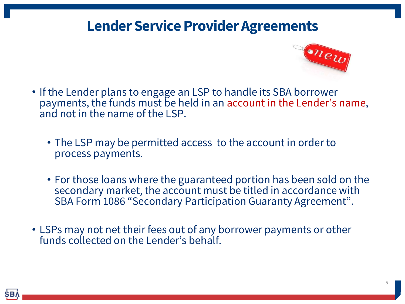

- If the Lender plans to engage an LSP to handle its SBA borrower payments, the funds must be held in an account in the Lender's name, and not in the name of the LSP.
	- The LSP may be permitted access to the account in order to process payments.
	- For those loans where the guaranteed portion has been sold on the secondary market, the account must be titled in accordance with SBA Form 1086 "Secondary Participation Guaranty Agreement".
- LSPs may not net their fees out of any borrower payments or other funds collected on the Lender's behalf.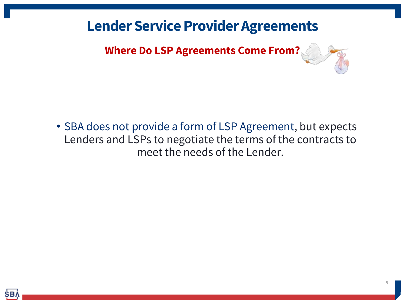**Where Do LSP Agreements Come From?** 

• SBA does not provide a form of LSP Agreement, but expects Lenders and LSPs to negotiate the terms of the contracts to meet the needs of the Lender.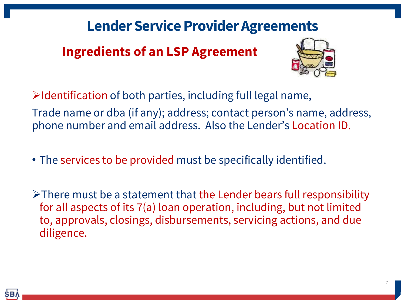#### **Ingredients of an LSP Agreement**



 $\triangleright$ Identification of both parties, including full legal name, Trade name or dba (if any); address; contact person's name, address, phone number and email address. Also the Lender's Location ID.

• The services to be provided must be specifically identified.

 $\triangleright$  There must be a statement that the Lender bears full responsibility for all aspects of its 7(a) loan operation, including, but not limited to, approvals, closings, disbursements, servicing actions, and due diligence.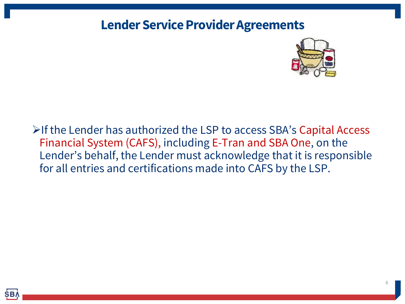

If the Lender has authorized the LSP to access SBA's Capital Access Financial System (CAFS), including E-Tran and SBA One, on the Lender's behalf, the Lender must acknowledge that it is responsible for all entries and certifications made into CAFS by the LSP.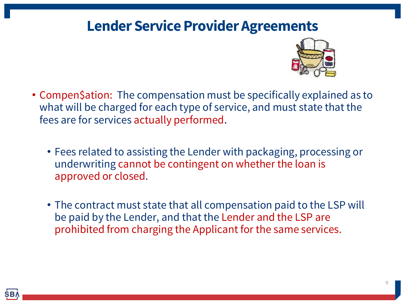

- Compen\$ation: The compensation must be specifically explained as to what will be charged for each type of service, and must state that the fees are for services actually performed.
	- Fees related to assisting the Lender with packaging, processing or underwriting cannot be contingent on whether the loan is approved or closed.
	- The contract must state that all compensation paid to the LSP will be paid by the Lender, and that the Lender and the LSP are prohibited from charging the Applicant for the same services.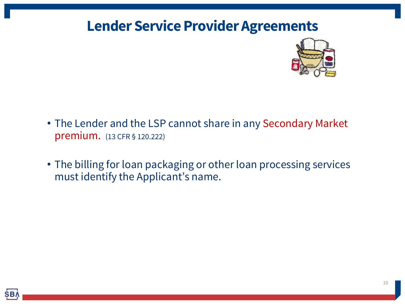

- The Lender and the LSP cannot share in any Secondary Market premium. (13 CFR § 120.222)
- The billing for loan packaging or other loan processing services must identify the Applicant's name.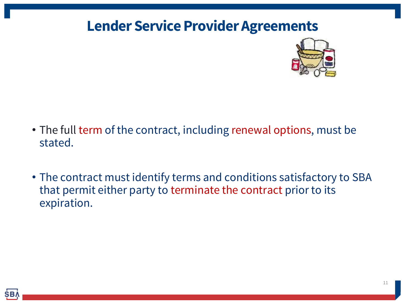

- The full term of the contract, including renewal options, must be stated.
- The contract must identify terms and conditions satisfactory to SBA that permit either party to terminate the contract prior to its expiration.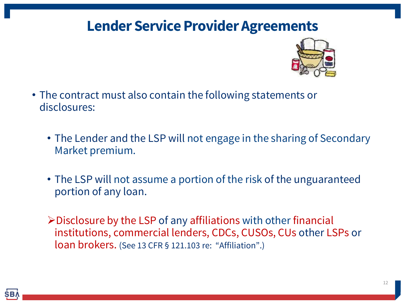

- The contract must also contain the following statements or disclosures:
	- The Lender and the LSP will not engage in the sharing of Secondary Market premium.
	- The LSP will not assume a portion of the risk of the unguaranteed portion of any loan.
	- $\triangleright$  Disclosure by the LSP of any affiliations with other financial institutions, commercial lenders, CDCs, CUSOs, CUs other LSPs or loan brokers. (See 13 CFR § 121.103 re: "Affiliation".)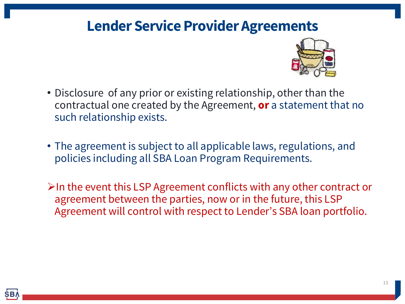

- Disclosure of any prior or existing relationship, other than the contractual one created by the Agreement, **or** a statement that no such relationship exists.
- The agreement is subject to all applicable laws, regulations, and policies including all SBA Loan Program Requirements.
- $\triangleright$ In the event this LSP Agreement conflicts with any other contract or agreement between the parties, now or in the future, this LSP Agreement will control with respect to Lender's SBA loan portfolio.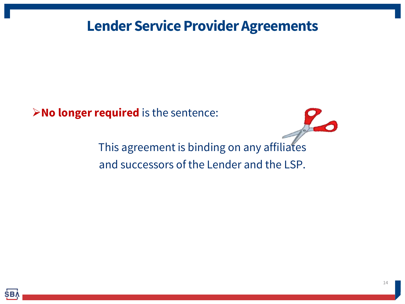**No longer required** is the sentence:

This agreement is binding on any affiliates and successors of the Lender and the LSP.

 $10/$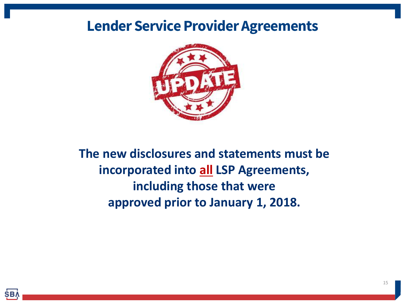

**The new disclosures and statements must be incorporated into all LSP Agreements, including those that were approved prior to January 1, 2018.**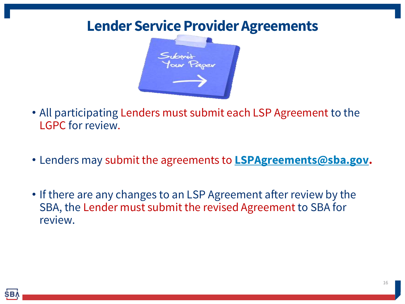

- All participating Lenders must submit each LSP Agreement to the LGPC for review.
- Lenders may submit the agreements to **[LSPAgreements@sba.gov.](mailto:LSPAgreements@sba.gov)**
- If there are any changes to an LSP Agreement after review by the SBA, the Lender must submit the revised Agreement to SBA for review.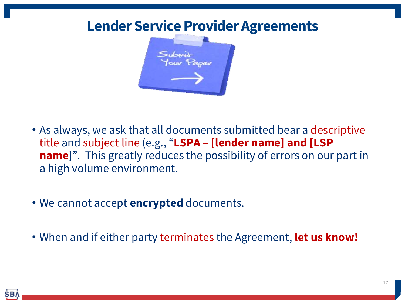

- As always, we ask that all documents submitted bear a descriptive title and subject line (e.g., "**LSPA – [lender name] and [LSP name**]". This greatly reduces the possibility of errors on our part in a high volume environment.
- We cannot accept **encrypted** documents.
- When and if either party terminates the Agreement, **let us know!**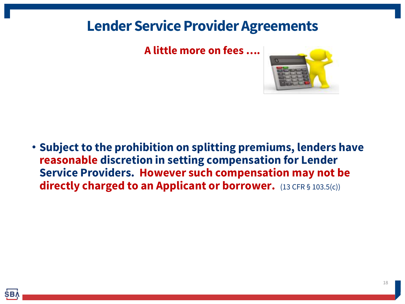#### **A little more on fees ….**



• **Subject to the prohibition on splitting premiums, lenders have reasonable discretion in setting compensation for Lender Service Providers. However such compensation may not be directly charged to an Applicant or borrower.** (13 CFR § 103.5(c))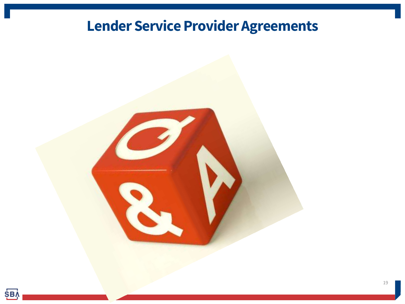